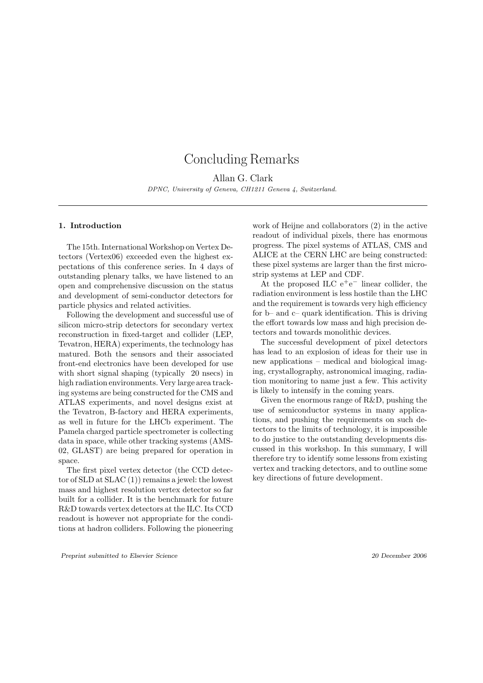# Concluding Remarks

Allan G. Clark DPNC, University of Geneva, CH1211 Geneva 4, Switzerland.

## 1. Introduction

The 15th. International Workshop on Vertex Detectors (Vertex06) exceeded even the highest expectations of this conference series. In 4 days of outstanding plenary talks, we have listened to an open and comprehensive discussion on the status and development of semi-conductor detectors for particle physics and related activities.

Following the development and successful use of silicon micro-strip detectors for secondary vertex reconstruction in fixed-target and collider (LEP, Tevatron, HERA) experiments, the technology has matured. Both the sensors and their associated front-end electronics have been developed for use with short signal shaping (typically 20 nsecs) in high radiation environments. Very large area tracking systems are being constructed for the CMS and ATLAS experiments, and novel designs exist at the Tevatron, B-factory and HERA experiments, as well in future for the LHCb experiment. The Pamela charged particle spectrometer is collecting data in space, while other tracking systems (AMS-02, GLAST) are being prepared for operation in space.

The first pixel vertex detector (the CCD detector of SLD at SLAC (1)) remains a jewel: the lowest mass and highest resolution vertex detector so far built for a collider. It is the benchmark for future R&D towards vertex detectors at the ILC. Its CCD readout is however not appropriate for the conditions at hadron colliders. Following the pioneering work of Heijne and collaborators (2) in the active readout of individual pixels, there has enormous progress. The pixel systems of ATLAS, CMS and ALICE at the CERN LHC are being constructed: these pixel systems are larger than the first microstrip systems at LEP and CDF.

At the proposed ILC  $e^+e^-$  linear collider, the radiation environment is less hostile than the LHC and the requirement is towards very high efficiency for b– and c– quark identification. This is driving the effort towards low mass and high precision detectors and towards monolithic devices.

The successful development of pixel detectors has lead to an explosion of ideas for their use in new applications – medical and biological imaging, crystallography, astronomical imaging, radiation monitoring to name just a few. This activity is likely to intensify in the coming years.

Given the enormous range of R&D, pushing the use of semiconductor systems in many applications, and pushing the requirements on such detectors to the limits of technology, it is impossible to do justice to the outstanding developments discussed in this workshop. In this summary, I will therefore try to identify some lessons from existing vertex and tracking detectors, and to outline some key directions of future development.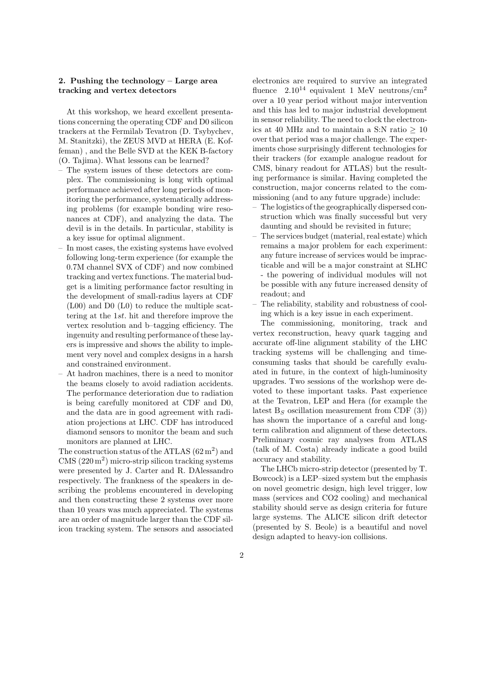## 2. Pushing the technology – Large area tracking and vertex detectors

At this workshop, we heard excellent presentations concerning the operating CDF and D0 silicon trackers at the Fermilab Tevatron (D. Tsybychev, M. Stanitzki), the ZEUS MVD at HERA (E. Koffeman) , and the Belle SVD at the KEK B-factory (O. Tajima). What lessons can be learned?

- The system issues of these detectors are complex. The commissioning is long with optimal performance achieved after long periods of monitoring the performance, systematically addressing problems (for example bonding wire resonances at CDF), and analyzing the data. The devil is in the details. In particular, stability is a key issue for optimal alignment.
- In most cases, the existing systems have evolved following long-term experience (for example the 0.7M channel SVX of CDF) and now combined tracking and vertex functions. The material budget is a limiting performance factor resulting in the development of small-radius layers at CDF (L00) and D0 (L0) to reduce the multiple scattering at the 1st. hit and therefore improve the vertex resolution and b–tagging efficiency. The ingenuity and resulting performance of these layers is impressive and shows the ability to implement very novel and complex designs in a harsh and constrained environment.
- At hadron machines, there is a need to monitor the beams closely to avoid radiation accidents. The performance deterioration due to radiation is being carefully monitored at CDF and D0, and the data are in good agreement with radiation projections at LHC. CDF has introduced diamond sensors to monitor the beam and such monitors are planned at LHC.

The construction status of the ATLAS  $(62 \,\mathrm{m}^2)$  and  $CMS (220 m<sup>2</sup>)$  micro-strip silicon tracking systems were presented by J. Carter and R. DAlessandro respectively. The frankness of the speakers in describing the problems encountered in developing and then constructing these 2 systems over more than 10 years was much appreciated. The systems are an order of magnitude larger than the CDF silicon tracking system. The sensors and associated electronics are required to survive an integrated fluence  $2.10^{14}$  equivalent 1 MeV neutrons/cm<sup>2</sup> over a 10 year period without major intervention and this has led to major industrial development in sensor reliability. The need to clock the electronics at 40 MHz and to maintain a S:N ratio  $> 10$ over that period was a major challenge. The experiments chose surprisingly different technologies for their trackers (for example analogue readout for CMS, binary readout for ATLAS) but the resulting performance is similar. Having completed the construction, major concerns related to the commissioning (and to any future upgrade) include:

- The logistics of the geographically dispersed construction which was finally successful but very daunting and should be revisited in future;
- The services budget (material, real estate) which remains a major problem for each experiment: any future increase of services would be impracticable and will be a major constraint at SLHC - the powering of individual modules will not be possible with any future increased density of readout; and
- The reliability, stability and robustness of cooling which is a key issue in each experiment.

The commissioning, monitoring, track and vertex reconstruction, heavy quark tagging and accurate off-line alignment stability of the LHC tracking systems will be challenging and timeconsuming tasks that should be carefully evaluated in future, in the context of high-luminosity upgrades. Two sessions of the workshop were devoted to these important tasks. Past experience at the Tevatron, LEP and Hera (for example the latest  $B<sub>S</sub>$  oscillation measurement from CDF (3)) has shown the importance of a careful and longterm calibration and alignment of these detectors. Preliminary cosmic ray analyses from ATLAS (talk of M. Costa) already indicate a good build accuracy and stability.

The LHCb micro-strip detector (presented by T. Bowcock) is a LEP–sized system but the emphasis on novel geometric design, high level trigger, low mass (services and CO2 cooling) and mechanical stability should serve as design criteria for future large systems. The ALICE silicon drift detector (presented by S. Beole) is a beautiful and novel design adapted to heavy-ion collisions.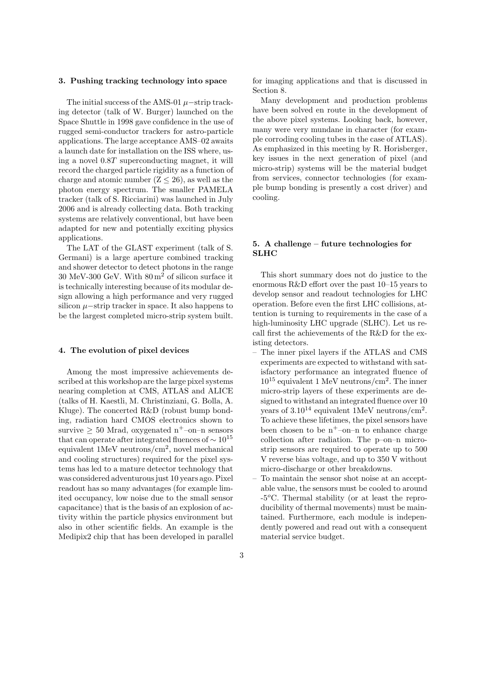#### 3. Pushing tracking technology into space

The initial success of the AMS-01  $\mu$ −strip tracking detector (talk of W. Burger) launched on the Space Shuttle in 1998 gave confidence in the use of rugged semi-conductor trackers for astro-particle applications. The large acceptance AMS–02 awaits a launch date for installation on the ISS where, using a novel 0.8T superconducting magnet, it will record the charged particle rigidity as a function of charge and atomic number  $(Z \leq 26)$ , as well as the photon energy spectrum. The smaller PAMELA tracker (talk of S. Ricciarini) was launched in July 2006 and is already collecting data. Both tracking systems are relatively conventional, but have been adapted for new and potentially exciting physics applications.

The LAT of the GLAST experiment (talk of S. Germani) is a large aperture combined tracking and shower detector to detect photons in the range 30 MeV-300 GeV. With 80 m<sup>2</sup> of silicon surface it is technically interesting because of its modular design allowing a high performance and very rugged silicon  $\mu$ −strip tracker in space. It also happens to be the largest completed micro-strip system built.

#### 4. The evolution of pixel devices

Among the most impressive achievements described at this workshop are the large pixel systems nearing completion at CMS, ATLAS and ALICE (talks of H. Kaestli, M. Christinziani, G. Bolla, A. Kluge). The concerted R&D (robust bump bonding, radiation hard CMOS electronics shown to survive  $\geq 50$  Mrad, oxygenated n<sup>+</sup>-on-n sensors that can operate after integrated fluences of  $\sim 10^{15}$ equivalent 1MeV neutrons/cm<sup>2</sup> , novel mechanical and cooling structures) required for the pixel systems has led to a mature detector technology that was considered adventurous just 10 years ago. Pixel readout has so many advantages (for example limited occupancy, low noise due to the small sensor capacitance) that is the basis of an explosion of activity within the particle physics environment but also in other scientific fields. An example is the Medipix2 chip that has been developed in parallel for imaging applications and that is discussed in Section 8.

Many development and production problems have been solved en route in the development of the above pixel systems. Looking back, however, many were very mundane in character (for example corroding cooling tubes in the case of ATLAS). As emphasized in this meeting by R. Horisberger, key issues in the next generation of pixel (and micro-strip) systems will be the material budget from services, connector technologies (for example bump bonding is presently a cost driver) and cooling.

# 5. A challenge – future technologies for SLHC

This short summary does not do justice to the enormous R&D effort over the past 10–15 years to develop sensor and readout technologies for LHC operation. Before even the first LHC collisions, attention is turning to requirements in the case of a high-luminosity LHC upgrade (SLHC). Let us recall first the achievements of the R&D for the existing detectors.

- The inner pixel layers if the ATLAS and CMS experiments are expected to withstand with satisfactory performance an integrated fluence of 10<sup>15</sup> equivalent 1 MeV neutrons/cm<sup>2</sup> . The inner micro-strip layers of these experiments are designed to withstand an integrated fluence over 10 years of  $3.10^{14}$  equivalent 1MeV neutrons/cm<sup>2</sup>. To achieve these lifetimes, the pixel sensors have been chosen to be  $n^+$ –on–n to enhance charge collection after radiation. The p–on–n microstrip sensors are required to operate up to 500 V reverse bias voltage, and up to 350 V without micro-discharge or other breakdowns.
- To maintain the sensor shot noise at an acceptable value, the sensors must be cooled to around  $-5\textdegree$ C. Thermal stability (or at least the reproducibility of thermal movements) must be maintained. Furthermore, each module is independently powered and read out with a consequent material service budget.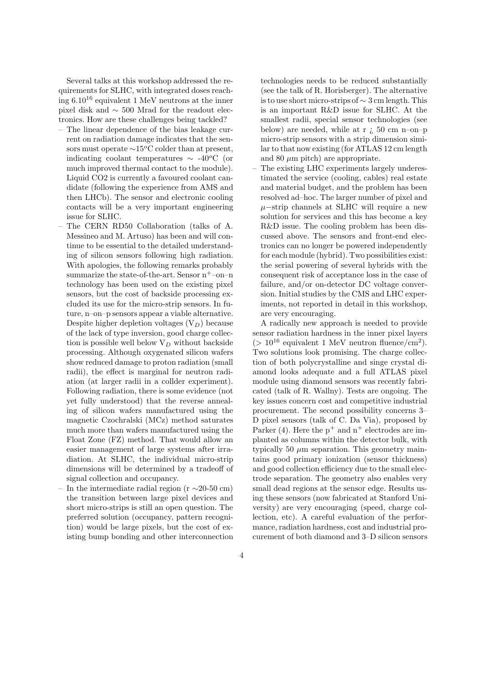Several talks at this workshop addressed the requirements for SLHC, with integrated doses reaching  $6.10^{16}$  equivalent 1 MeV neutrons at the inner pixel disk and ∼ 500 Mrad for the readout electronics. How are these challenges being tackled?

- The linear dependence of the bias leakage current on radiation damage indicates that the sensors must operate  $\sim$ 15<sup>o</sup>C colder than at present, indicating coolant temperatures  $\sim$  -40<sup>o</sup>C (or much improved thermal contact to the module). Liquid CO2 is currently a favoured coolant candidate (following the experience from AMS and then LHCb). The sensor and electronic cooling contacts will be a very important engineering issue for SLHC.
- The CERN RD50 Collaboration (talks of A. Messineo and M. Artuso) has been and will continue to be essential to the detailed understanding of silicon sensors following high radiation. With apologies, the following remarks probably summarize the state-of-the-art. Sensor  $n^+$ -on-n technology has been used on the existing pixel sensors, but the cost of backside processing excluded its use for the micro-strip sensors. In future, n–on–p sensors appear a viable alternative. Despite higher depletion voltages  $(V_D)$  because of the lack of type inversion, good charge collection is possible well below  $V_D$  without backside processing. Although oxygenated silicon wafers show reduced damage to proton radiation (small radii), the effect is marginal for neutron radiation (at larger radii in a collder experiment). Following radiation, there is some evidence (not yet fully understood) that the reverse annealing of silicon wafers manufactured using the magnetic Czochralski (MCz) method saturates much more than wafers manufactured using the Float Zone (FZ) method. That would allow an easier management of large systems after irradiation. At SLHC, the individual micro-strip dimensions will be determined by a tradeoff of signal collection and occupancy.
- In the intermediate radial region (r  $\sim$ 20-50 cm) the transition between large pixel devices and short micro-strips is still an open question. The preferred solution (occupancy, pattern recognition) would be large pixels, but the cost of existing bump bonding and other interconnection

technologies needs to be reduced substantially (see the talk of R. Horisberger). The alternative is to use short micro-strips of ∼ 3 cm length. This is an important R&D issue for SLHC. At the smallest radii, special sensor technologies (see below) are needed, while at r  $\chi$  50 cm n–on–p micro-strip sensors with a strip dimension similar to that now existing (for ATLAS 12 cm length and 80  $\mu$ m pitch) are appropriate.

– The existing LHC experiments largely underestimated the service (cooling, cables) real estate and material budget, and the problem has been resolved ad–hoc. The larger number of pixel and  $\mu$ −strip channels at SLHC will require a new solution for services and this has become a key R&D issue. The cooling problem has been discussed above. The sensors and front-end electronics can no longer be powered independently for each module (hybrid). Two possibilities exist: the serial powering of several hybrids with the consequent risk of acceptance loss in the case of failure, and/or on-detector DC voltage conversion. Initial studies by the CMS and LHC experiments, not reported in detail in this workshop, are very encouraging.

A radically new approach is needed to provide sensor radiation hardness in the inner pixel layers  $(> 10^{16}$  equivalent 1 MeV neutron fluence/cm<sup>2</sup>). Two solutions look promising. The charge collection of both polycrystalline and singe crystal diamond looks adequate and a full ATLAS pixel module using diamond sensors was recently fabricated (talk of R. Wallny). Tests are ongoing. The key issues concern cost and competitive industrial procurement. The second possibility concerns 3– D pixel sensors (talk of C. Da Via), proposed by Parker (4). Here the  $p^+$  and  $n^+$  electrodes are implanted as columns within the detector bulk, with typically 50  $\mu$ m separation. This geometry maintains good primary ionization (sensor thickness) and good collection efficiency due to the small electrode separation. The geometry also enables very small dead regions at the sensor edge. Results using these sensors (now fabricated at Stanford University) are very encouraging (speed, charge collection, etc). A careful evaluation of the performance, radiation hardness, cost and industrial procurement of both diamond and 3–D silicon sensors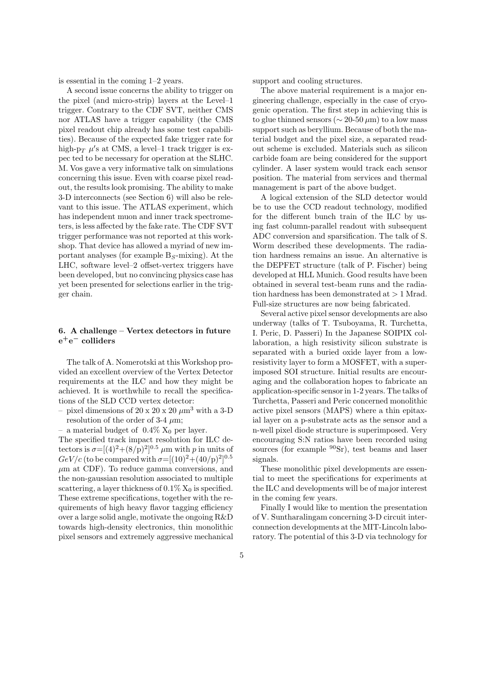is essential in the coming 1–2 years.

A second issue concerns the ability to trigger on the pixel (and micro-strip) layers at the Level–1 trigger. Contrary to the CDF SVT, neither CMS nor ATLAS have a trigger capability (the CMS pixel readout chip already has some test capabilities). Because of the expected fake trigger rate for high-p<sub>T</sub>  $\mu$ 's at CMS, a level-1 track trigger is expec ted to be necessary for operation at the SLHC. M. Vos gave a very informative talk on simulations concerning this issue. Even with coarse pixel readout, the results look promising. The ability to make 3-D interconnects (see Section 6) will also be relevant to this issue. The ATLAS experiment, which has independent muon and inner track spectrometers, is less affected by the fake rate. The CDF SVT trigger performance was not reported at this workshop. That device has allowed a myriad of new important analyses (for example  $B<sub>S</sub>$ -mixing). At the LHC, software level–2 offset-vertex triggers have been developed, but no convincing physics case has yet been presented for selections earlier in the trigger chain.

## 6. A challenge – Vertex detectors in future  $\mathrm{e^{+}e^{-}}$  colliders

The talk of A. Nomerotski at this Workshop provided an excellent overview of the Vertex Detector requirements at the ILC and how they might be achieved. It is worthwhile to recall the specifications of the SLD CCD vertex detector:

- pixel dimensions of 20 x 20 x 20  $\mu$ m<sup>3</sup> with a 3-D resolution of the order of 3-4  $\mu$ m;
- a material budget of  $0.4\%$  X<sub>0</sub> per layer.

The specified track impact resolution for ILC detectors is  $\sigma = [(4)^2 + (8/\rho)^2]^{0.5}$   $\mu$ m with p in units of  $GeV/c$  (to be compared with  $\sigma=[(10)^2+(40/\mathrm{p})^2]^{0.5}$  $\mu$ m at CDF). To reduce gamma conversions, and the non-gaussian resolution associated to multiple scattering, a layer thickness of  $0.1\%$  X<sub>0</sub> is specified. These extreme specifications, together with the requirements of high heavy flavor tagging efficiency over a large solid angle, motivate the ongoing R&D towards high-density electronics, thin monolithic pixel sensors and extremely aggressive mechanical support and cooling structures.

The above material requirement is a major engineering challenge, especially in the case of cryogenic operation. The first step in achieving this is to glue thinned sensors ( $\sim$  20-50  $\mu$ m) to a low mass support such as beryllium. Because of both the material budget and the pixel size, a separated readout scheme is excluded. Materials such as silicon carbide foam are being considered for the support cylinder. A laser system would track each sensor position. The material from services and thermal management is part of the above budget.

A logical extension of the SLD detector would be to use the CCD readout technology, modified for the different bunch train of the ILC by using fast column-parallel readout with subsequent ADC conversion and sparsification. The talk of S. Worm described these developments. The radiation hardness remains an issue. An alternative is the DEPFET structure (talk of P. Fischer) being developed at HLL Munich. Good results have been obtained in several test-beam runs and the radiation hardness has been demonstrated at  $> 1$  Mrad. Full-size structures are now being fabricated.

Several active pixel sensor developments are also underway (talks of T. Tsuboyama, R. Turchetta, I. Peric, D. Passeri) In the Japanese SOIPIX collaboration, a high resistivity silicon substrate is separated with a buried oxide layer from a lowresistivity layer to form a MOSFET, with a superimposed SOI structure. Initial results are encouraging and the collaboration hopes to fabricate an application-specific sensor in 1-2 years. The talks of Turchetta, Passeri and Peric concerned monolithic active pixel sensors (MAPS) where a thin epitaxial layer on a p-substrate acts as the sensor and a n-well pixel diode structure is superimposed. Very encouraging S:N ratios have been recorded using sources (for example <sup>90</sup>Sr), test beams and laser signals.

These monolithic pixel developments are essential to meet the specifications for experiments at the ILC and developments will be of major interest in the coming few years.

Finally I would like to mention the presentation of V. Suntharalingam concerning 3-D circuit interconnection developments at the MIT-Lincoln laboratory. The potential of this 3-D via technology for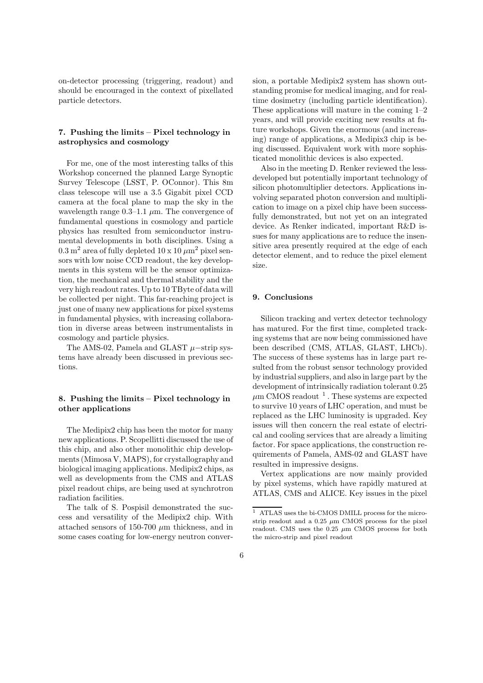on-detector processing (triggering, readout) and should be encouraged in the context of pixellated particle detectors.

# 7. Pushing the limits – Pixel technology in astrophysics and cosmology

For me, one of the most interesting talks of this Workshop concerned the planned Large Synoptic Survey Telescope (LSST, P. OConnor). This 8m class telescope will use a 3.5 Gigabit pixel CCD camera at the focal plane to map the sky in the wavelength range  $0.3-1.1 \mu m$ . The convergence of fundamental questions in cosmology and particle physics has resulted from semiconductor instrumental developments in both disciplines. Using a  $0.3 \text{ m}^2$  area of fully depleted  $10 \times 10 \mu \text{m}^2$  pixel sensors with low noise CCD readout, the key developments in this system will be the sensor optimization, the mechanical and thermal stability and the very high readout rates. Up to 10 TByte of data will be collected per night. This far-reaching project is just one of many new applications for pixel systems in fundamental physics, with increasing collaboration in diverse areas between instrumentalists in cosmology and particle physics.

The AMS-02, Pamela and GLAST  $\mu$ −strip systems have already been discussed in previous sections.

## 8. Pushing the limits – Pixel technology in other applications

The Medipix2 chip has been the motor for many new applications. P. Scopellitti discussed the use of this chip, and also other monolithic chip developments (Mimosa V, MAPS), for crystallography and biological imaging applications. Medipix2 chips, as well as developments from the CMS and ATLAS pixel readout chips, are being used at synchrotron radiation facilities.

The talk of S. Pospisil demonstrated the success and versatility of the Medipix2 chip. With attached sensors of 150-700  $\mu$ m thickness, and in some cases coating for low-energy neutron conver-

sion, a portable Medipix2 system has shown outstanding promise for medical imaging, and for realtime dosimetry (including particle identification). These applications will mature in the coming 1–2 years, and will provide exciting new results at future workshops. Given the enormous (and increasing) range of applications, a Medipix3 chip is being discussed. Equivalent work with more sophisticated monolithic devices is also expected.

Also in the meeting D. Renker reviewed the lessdeveloped but potentially important technology of silicon photomultiplier detectors. Applications involving separated photon conversion and multiplication to image on a pixel chip have been successfully demonstrated, but not yet on an integrated device. As Renker indicated, important R&D issues for many applications are to reduce the insensitive area presently required at the edge of each detector element, and to reduce the pixel element size.

#### 9. Conclusions

Silicon tracking and vertex detector technology has matured. For the first time, completed tracking systems that are now being commissioned have been described (CMS, ATLAS, GLAST, LHCb). The success of these systems has in large part resulted from the robust sensor technology provided by industrial suppliers, and also in large part by the development of intrinsically radiation tolerant 0.25  $\mu$ m CMOS readout <sup>1</sup>. These systems are expected to survive 10 years of LHC operation, and must be replaced as the LHC luminosity is upgraded. Key issues will then concern the real estate of electrical and cooling services that are already a limiting factor. For space applications, the construction requirements of Pamela, AMS-02 and GLAST have resulted in impressive designs.

Vertex applications are now mainly provided by pixel systems, which have rapidly matured at ATLAS, CMS and ALICE. Key issues in the pixel

 $\overline{1}$  ATLAS uses the bi-CMOS DMILL process for the microstrip readout and a  $0.25 \mu m$  CMOS process for the pixel readout. CMS uses the 0.25  $\mu \mathrm{m}$  CMOS process for both the micro-strip and pixel readout